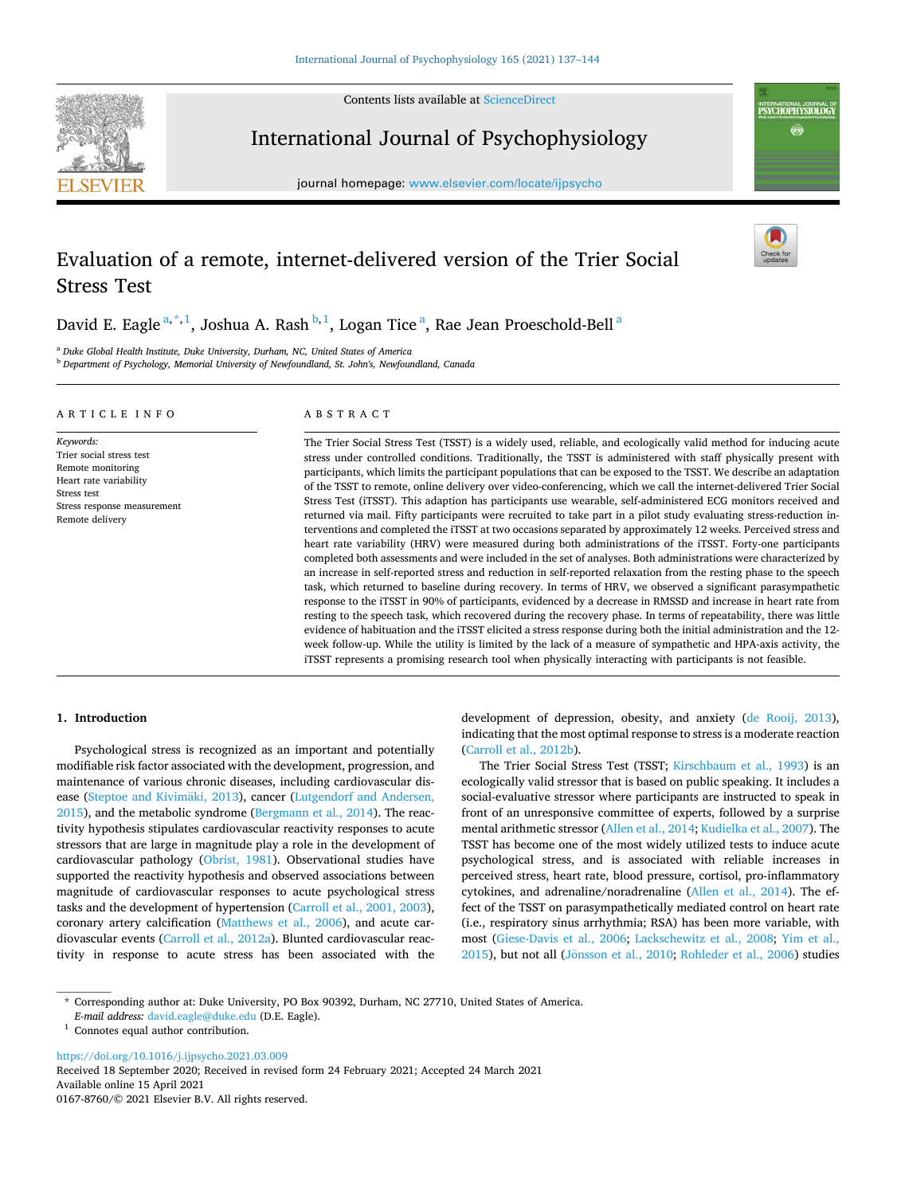Contents lists available at [ScienceDirect](www.sciencedirect.com/science/journal/01678760)



International Journal of Psychophysiology

journal homepage: [www.elsevier.com/locate/ijpsycho](https://www.elsevier.com/locate/ijpsycho)

# Evaluation of a remote, internet-delivered version of the Trier Social Stress Test

David E. Eagle <sup>a,\*,1</sup>, Joshua A. Rash <sup>b,1</sup>, Logan Tice <sup>a</sup>, Rae Jean Proeschold-Bell <sup>a</sup>

<sup>a</sup> *Duke Global Health Institute, Duke University, Durham, NC, United States of America* 

<sup>b</sup> *Department of Psychology, Memorial University of Newfoundland, St. John's, Newfoundland, Canada* 

#### ARTICLE INFO

*Keywords:*  Trier social stress test Remote monitoring Heart rate variability Stress test Stress response measurement Remote delivery

### ABSTRACT

The Trier Social Stress Test (TSST) is a widely used, reliable, and ecologically valid method for inducing acute stress under controlled conditions. Traditionally, the TSST is administered with staff physically present with participants, which limits the participant populations that can be exposed to the TSST. We describe an adaptation of the TSST to remote, online delivery over video-conferencing, which we call the internet-delivered Trier Social Stress Test (iTSST). This adaption has participants use wearable, self-administered ECG monitors received and returned via mail. Fifty participants were recruited to take part in a pilot study evaluating stress-reduction interventions and completed the iTSST at two occasions separated by approximately 12 weeks. Perceived stress and heart rate variability (HRV) were measured during both administrations of the iTSST. Forty-one participants completed both assessments and were included in the set of analyses. Both administrations were characterized by an increase in self-reported stress and reduction in self-reported relaxation from the resting phase to the speech task, which returned to baseline during recovery. In terms of HRV, we observed a significant parasympathetic response to the iTSST in 90% of participants, evidenced by a decrease in RMSSD and increase in heart rate from resting to the speech task, which recovered during the recovery phase. In terms of repeatability, there was little evidence of habituation and the iTSST elicited a stress response during both the initial administration and the 12 week follow-up. While the utility is limited by the lack of a measure of sympathetic and HPA-axis activity, the iTSST represents a promising research tool when physically interacting with participants is not feasible.

# **1. Introduction**

Psychological stress is recognized as an important and potentially modifiable risk factor associated with the development, progression, and maintenance of various chronic diseases, including cardiovascular disease (Steptoe and Kivimäki, 2013), cancer (Lutgendorf and Andersen, [2015\)](#page-6-0), and the metabolic syndrome [\(Bergmann et al., 2014](#page-6-0)). The reactivity hypothesis stipulates cardiovascular reactivity responses to acute stressors that are large in magnitude play a role in the development of cardiovascular pathology [\(Obrist, 1981](#page-6-0)). Observational studies have supported the reactivity hypothesis and observed associations between magnitude of cardiovascular responses to acute psychological stress tasks and the development of hypertension [\(Carroll et al., 2001, 2003](#page-6-0)), coronary artery calcification ([Matthews et al., 2006](#page-6-0)), and acute cardiovascular events ([Carroll et al., 2012a\)](#page-6-0). Blunted cardiovascular reactivity in response to acute stress has been associated with the development of depression, obesity, and anxiety ([de Rooij, 2013](#page-6-0)), indicating that the most optimal response to stress is a moderate reaction ([Carroll et al., 2012b](#page-6-0)).

INTERNATIONAL JOURNAL O<br>PSYCHOPHYSIOLOGY Ö

The Trier Social Stress Test (TSST; [Kirschbaum et al., 1993](#page-6-0)) is an ecologically valid stressor that is based on public speaking. It includes a social-evaluative stressor where participants are instructed to speak in front of an unresponsive committee of experts, followed by a surprise mental arithmetic stressor [\(Allen et al., 2014; Kudielka et al., 2007](#page-6-0)). The TSST has become one of the most widely utilized tests to induce acute psychological stress, and is associated with reliable increases in perceived stress, heart rate, blood pressure, cortisol, pro-inflammatory cytokines, and adrenaline/noradrenaline [\(Allen et al., 2014](#page-6-0)). The effect of the TSST on parasympathetically mediated control on heart rate (i.e., respiratory sinus arrhythmia; RSA) has been more variable, with most ([Giese-Davis et al., 2006](#page-6-0); [Lackschewitz et al., 2008;](#page-6-0) [Yim et al.,](#page-7-0)  [2015\)](#page-7-0), but not all (Jönsson [et al., 2010](#page-6-0); [Rohleder et al., 2006\)](#page-6-0) studies

<https://doi.org/10.1016/j.ijpsycho.2021.03.009>

Available online 15 April 2021 0167-8760/© 2021 Elsevier B.V. All rights reserved. Received 18 September 2020; Received in revised form 24 February 2021; Accepted 24 March 2021

<sup>\*</sup> Corresponding author at: Duke University, PO Box 90392, Durham, NC 27710, United States of America.

<sup>&</sup>lt;sup>1</sup> Connotes equal author contribution.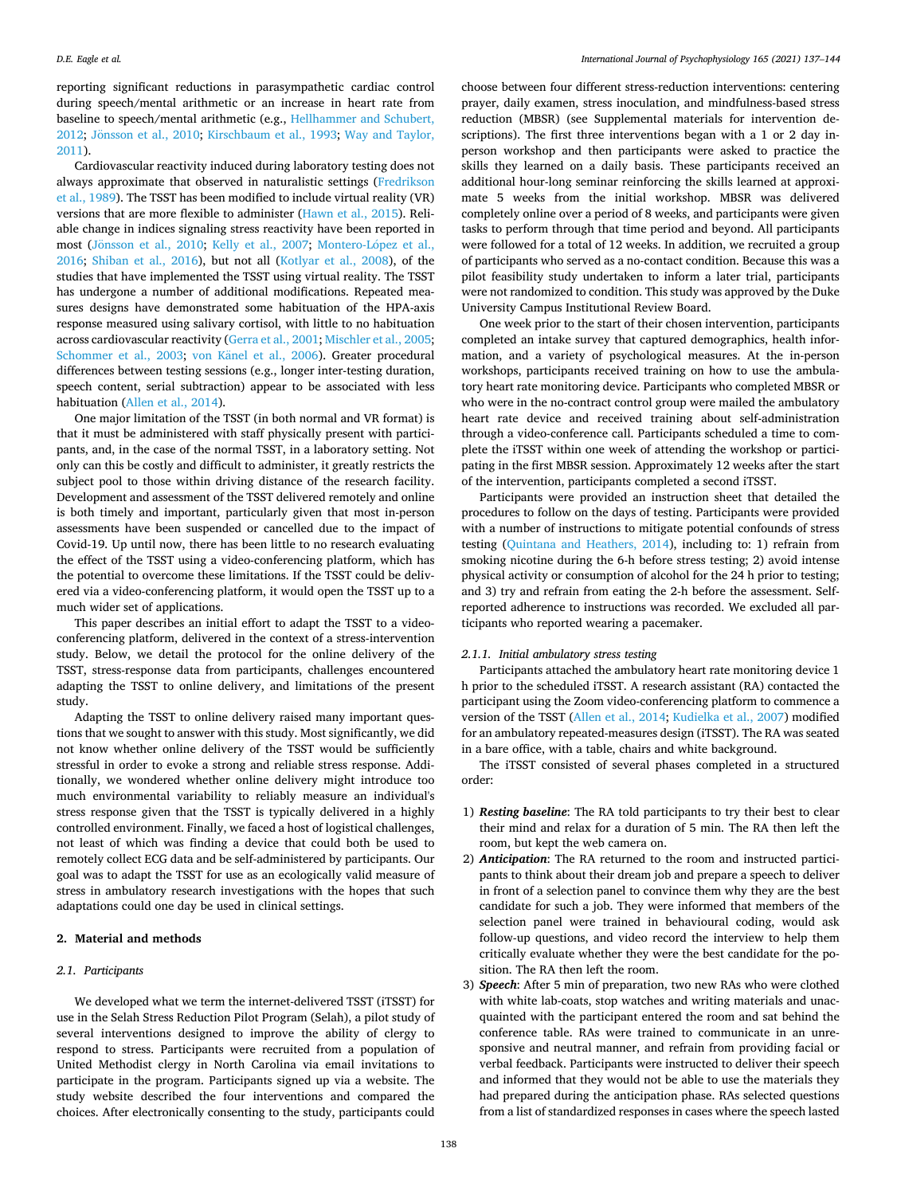reporting significant reductions in parasympathetic cardiac control during speech/mental arithmetic or an increase in heart rate from baseline to speech/mental arithmetic (e.g., [Hellhammer and Schubert,](#page-6-0)  [2012;](#page-6-0) Jönsson [et al., 2010;](#page-6-0) [Kirschbaum et al., 1993;](#page-6-0) Way and Taylor, [2011\)](#page-7-0).

Cardiovascular reactivity induced during laboratory testing does not always approximate that observed in naturalistic settings [\(Fredrikson](#page-6-0)  [et al., 1989\)](#page-6-0). The TSST has been modified to include virtual reality (VR) versions that are more flexible to administer ([Hawn et al., 2015\)](#page-6-0). Reliable change in indices signaling stress reactivity have been reported in most (Jönsson [et al., 2010](#page-6-0); [Kelly et al., 2007](#page-6-0); Montero-López et al., [2016;](#page-6-0) [Shiban et al., 2016\)](#page-6-0), but not all [\(Kotlyar et al., 2008](#page-6-0)), of the studies that have implemented the TSST using virtual reality. The TSST has undergone a number of additional modifications. Repeated measures designs have demonstrated some habituation of the HPA-axis response measured using salivary cortisol, with little to no habituation across cardiovascular reactivity ([Gerra et al., 2001](#page-6-0); [Mischler et al., 2005](#page-6-0); [Schommer et al., 2003;](#page-6-0) von Känel [et al., 2006](#page-7-0)). Greater procedural differences between testing sessions (e.g., longer inter-testing duration, speech content, serial subtraction) appear to be associated with less habituation ([Allen et al., 2014\)](#page-6-0).

One major limitation of the TSST (in both normal and VR format) is that it must be administered with staff physically present with participants, and, in the case of the normal TSST, in a laboratory setting. Not only can this be costly and difficult to administer, it greatly restricts the subject pool to those within driving distance of the research facility. Development and assessment of the TSST delivered remotely and online is both timely and important, particularly given that most in-person assessments have been suspended or cancelled due to the impact of Covid-19. Up until now, there has been little to no research evaluating the effect of the TSST using a video-conferencing platform, which has the potential to overcome these limitations. If the TSST could be delivered via a video-conferencing platform, it would open the TSST up to a much wider set of applications.

This paper describes an initial effort to adapt the TSST to a videoconferencing platform, delivered in the context of a stress-intervention study. Below, we detail the protocol for the online delivery of the TSST, stress-response data from participants, challenges encountered adapting the TSST to online delivery, and limitations of the present study.

Adapting the TSST to online delivery raised many important questions that we sought to answer with this study. Most significantly, we did not know whether online delivery of the TSST would be sufficiently stressful in order to evoke a strong and reliable stress response. Additionally, we wondered whether online delivery might introduce too much environmental variability to reliably measure an individual's stress response given that the TSST is typically delivered in a highly controlled environment. Finally, we faced a host of logistical challenges, not least of which was finding a device that could both be used to remotely collect ECG data and be self-administered by participants. Our goal was to adapt the TSST for use as an ecologically valid measure of stress in ambulatory research investigations with the hopes that such adaptations could one day be used in clinical settings.

# **2. Material and methods**

### *2.1. Participants*

We developed what we term the internet-delivered TSST (iTSST) for use in the Selah Stress Reduction Pilot Program (Selah), a pilot study of several interventions designed to improve the ability of clergy to respond to stress. Participants were recruited from a population of United Methodist clergy in North Carolina via email invitations to participate in the program. Participants signed up via a website. The study website described the four interventions and compared the choices. After electronically consenting to the study, participants could

choose between four different stress-reduction interventions: centering prayer, daily examen, stress inoculation, and mindfulness-based stress reduction (MBSR) (see Supplemental materials for intervention descriptions). The first three interventions began with a 1 or 2 day inperson workshop and then participants were asked to practice the skills they learned on a daily basis. These participants received an additional hour-long seminar reinforcing the skills learned at approximate 5 weeks from the initial workshop. MBSR was delivered completely online over a period of 8 weeks, and participants were given tasks to perform through that time period and beyond. All participants were followed for a total of 12 weeks. In addition, we recruited a group of participants who served as a no-contact condition. Because this was a pilot feasibility study undertaken to inform a later trial, participants were not randomized to condition. This study was approved by the Duke University Campus Institutional Review Board.

One week prior to the start of their chosen intervention, participants completed an intake survey that captured demographics, health information, and a variety of psychological measures. At the in-person workshops, participants received training on how to use the ambulatory heart rate monitoring device. Participants who completed MBSR or who were in the no-contract control group were mailed the ambulatory heart rate device and received training about self-administration through a video-conference call. Participants scheduled a time to complete the iTSST within one week of attending the workshop or participating in the first MBSR session. Approximately 12 weeks after the start of the intervention, participants completed a second iTSST.

Participants were provided an instruction sheet that detailed the procedures to follow on the days of testing. Participants were provided with a number of instructions to mitigate potential confounds of stress testing ([Quintana and Heathers, 2014](#page-6-0)), including to: 1) refrain from smoking nicotine during the 6-h before stress testing; 2) avoid intense physical activity or consumption of alcohol for the 24 h prior to testing; and 3) try and refrain from eating the 2-h before the assessment. Selfreported adherence to instructions was recorded. We excluded all participants who reported wearing a pacemaker.

### *2.1.1. Initial ambulatory stress testing*

Participants attached the ambulatory heart rate monitoring device 1 h prior to the scheduled iTSST. A research assistant (RA) contacted the participant using the Zoom video-conferencing platform to commence a version of the TSST ([Allen et al., 2014](#page-6-0); [Kudielka et al., 2007\)](#page-6-0) modified for an ambulatory repeated-measures design (iTSST). The RA was seated in a bare office, with a table, chairs and white background.

The iTSST consisted of several phases completed in a structured order:

- 1) *Resting baseline*: The RA told participants to try their best to clear their mind and relax for a duration of 5 min. The RA then left the room, but kept the web camera on.
- 2) *Anticipation*: The RA returned to the room and instructed participants to think about their dream job and prepare a speech to deliver in front of a selection panel to convince them why they are the best candidate for such a job. They were informed that members of the selection panel were trained in behavioural coding, would ask follow-up questions, and video record the interview to help them critically evaluate whether they were the best candidate for the position. The RA then left the room.
- 3) *Speech*: After 5 min of preparation, two new RAs who were clothed with white lab-coats, stop watches and writing materials and unacquainted with the participant entered the room and sat behind the conference table. RAs were trained to communicate in an unresponsive and neutral manner, and refrain from providing facial or verbal feedback. Participants were instructed to deliver their speech and informed that they would not be able to use the materials they had prepared during the anticipation phase. RAs selected questions from a list of standardized responses in cases where the speech lasted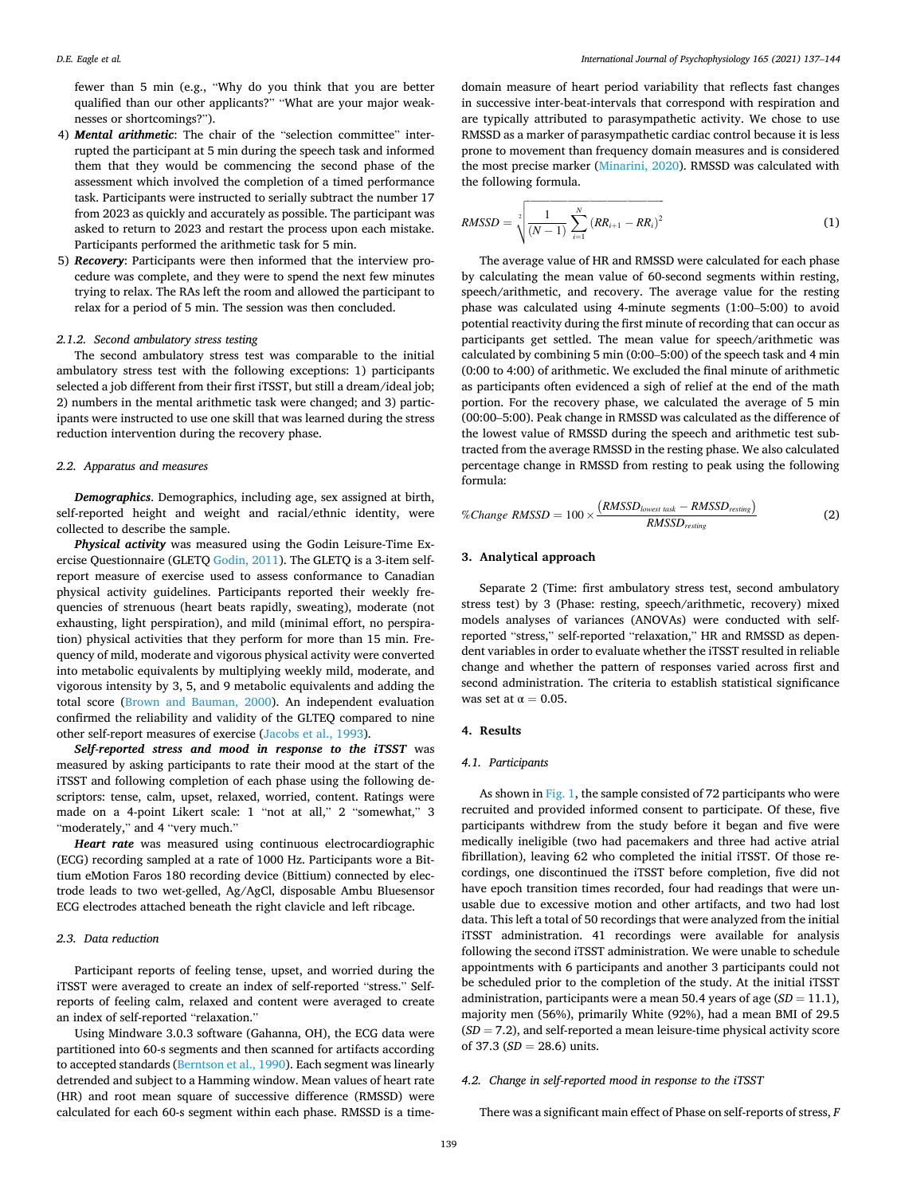fewer than 5 min (e.g., "Why do you think that you are better qualified than our other applicants?" "What are your major weaknesses or shortcomings?").

- 4) *Mental arithmetic*: The chair of the "selection committee" interrupted the participant at 5 min during the speech task and informed them that they would be commencing the second phase of the assessment which involved the completion of a timed performance task. Participants were instructed to serially subtract the number 17 from 2023 as quickly and accurately as possible. The participant was asked to return to 2023 and restart the process upon each mistake. Participants performed the arithmetic task for 5 min.
- 5) *Recovery*: Participants were then informed that the interview procedure was complete, and they were to spend the next few minutes trying to relax. The RAs left the room and allowed the participant to relax for a period of 5 min. The session was then concluded.

### *2.1.2. Second ambulatory stress testing*

The second ambulatory stress test was comparable to the initial ambulatory stress test with the following exceptions: 1) participants selected a job different from their first iTSST, but still a dream/ideal job; 2) numbers in the mental arithmetic task were changed; and 3) participants were instructed to use one skill that was learned during the stress reduction intervention during the recovery phase.

### *2.2. Apparatus and measures*

*Demographics*. Demographics, including age, sex assigned at birth, self-reported height and weight and racial/ethnic identity, were collected to describe the sample.

*Physical activity* was measured using the Godin Leisure-Time Exercise Questionnaire (GLETQ [Godin, 2011](#page-6-0)). The GLETQ is a 3-item selfreport measure of exercise used to assess conformance to Canadian physical activity guidelines. Participants reported their weekly frequencies of strenuous (heart beats rapidly, sweating), moderate (not exhausting, light perspiration), and mild (minimal effort, no perspiration) physical activities that they perform for more than 15 min. Frequency of mild, moderate and vigorous physical activity were converted into metabolic equivalents by multiplying weekly mild, moderate, and vigorous intensity by 3, 5, and 9 metabolic equivalents and adding the total score [\(Brown and Bauman, 2000](#page-6-0)). An independent evaluation confirmed the reliability and validity of the GLTEQ compared to nine other self-report measures of exercise [\(Jacobs et al., 1993](#page-6-0)).

*Self*-*reported stress and mood in response to the iTSST* was measured by asking participants to rate their mood at the start of the iTSST and following completion of each phase using the following descriptors: tense, calm, upset, relaxed, worried, content. Ratings were made on a 4-point Likert scale: 1 "not at all," 2 "somewhat," 3 "moderately," and 4 "very much."

*Heart rate* was measured using continuous electrocardiographic (ECG) recording sampled at a rate of 1000 Hz. Participants wore a Bittium eMotion Faros 180 recording device (Bittium) connected by electrode leads to two wet-gelled, Ag/AgCl, disposable Ambu Bluesensor ECG electrodes attached beneath the right clavicle and left ribcage.

### *2.3. Data reduction*

Participant reports of feeling tense, upset, and worried during the iTSST were averaged to create an index of self-reported "stress." Selfreports of feeling calm, relaxed and content were averaged to create an index of self-reported "relaxation."

Using Mindware 3.0.3 software (Gahanna, OH), the ECG data were partitioned into 60-s segments and then scanned for artifacts according to accepted standards ([Berntson et al., 1990\)](#page-6-0). Each segment was linearly detrended and subject to a Hamming window. Mean values of heart rate (HR) and root mean square of successive difference (RMSSD) were calculated for each 60-s segment within each phase. RMSSD is a time-

domain measure of heart period variability that reflects fast changes in successive inter-beat-intervals that correspond with respiration and are typically attributed to parasympathetic activity. We chose to use RMSSD as a marker of parasympathetic cardiac control because it is less prone to movement than frequency domain measures and is considered the most precise marker ([Minarini, 2020\)](#page-6-0). RMSSD was calculated with the following formula.

$$
RMSSD = \sqrt[2]{\frac{1}{(N-1)}\sum_{i=1}^{N} (RR_{i+1} - RR_i)^2}
$$
 (1)

The average value of HR and RMSSD were calculated for each phase by calculating the mean value of 60-second segments within resting, speech/arithmetic, and recovery. The average value for the resting phase was calculated using 4-minute segments (1:00–5:00) to avoid potential reactivity during the first minute of recording that can occur as participants get settled. The mean value for speech/arithmetic was calculated by combining 5 min (0:00–5:00) of the speech task and 4 min (0:00 to 4:00) of arithmetic. We excluded the final minute of arithmetic as participants often evidenced a sigh of relief at the end of the math portion. For the recovery phase, we calculated the average of 5 min (00:00–5:00). Peak change in RMSSD was calculated as the difference of the lowest value of RMSSD during the speech and arithmetic test subtracted from the average RMSSD in the resting phase. We also calculated percentage change in RMSSD from resting to peak using the following formula:

$$
\% Change RMSSD = 100 \times \frac{(RMSSD_{lowest task} - RMSSD_{resing})}{RMSSD_{resing}}
$$
 (2)

# **3. Analytical approach**

Separate 2 (Time: first ambulatory stress test, second ambulatory stress test) by 3 (Phase: resting, speech/arithmetic, recovery) mixed models analyses of variances (ANOVAs) were conducted with selfreported "stress," self-reported "relaxation," HR and RMSSD as dependent variables in order to evaluate whether the iTSST resulted in reliable change and whether the pattern of responses varied across first and second administration. The criteria to establish statistical significance was set at  $\alpha = 0.05$ .

### **4. Results**

### *4.1. Participants*

As shown in [Fig. 1](#page-3-0), the sample consisted of 72 participants who were recruited and provided informed consent to participate. Of these, five participants withdrew from the study before it began and five were medically ineligible (two had pacemakers and three had active atrial fibrillation), leaving 62 who completed the initial iTSST. Of those recordings, one discontinued the iTSST before completion, five did not have epoch transition times recorded, four had readings that were unusable due to excessive motion and other artifacts, and two had lost data. This left a total of 50 recordings that were analyzed from the initial iTSST administration. 41 recordings were available for analysis following the second iTSST administration. We were unable to schedule appointments with 6 participants and another 3 participants could not be scheduled prior to the completion of the study. At the initial iTSST administration, participants were a mean 50.4 years of age (*SD* = 11.1), majority men (56%), primarily White (92%), had a mean BMI of 29.5 (*SD* = 7.2), and self-reported a mean leisure-time physical activity score of 37.3 ( $SD = 28.6$ ) units.

# *4.2. Change in self-reported mood in response to the iTSST*

There was a significant main effect of Phase on self-reports of stress, *F*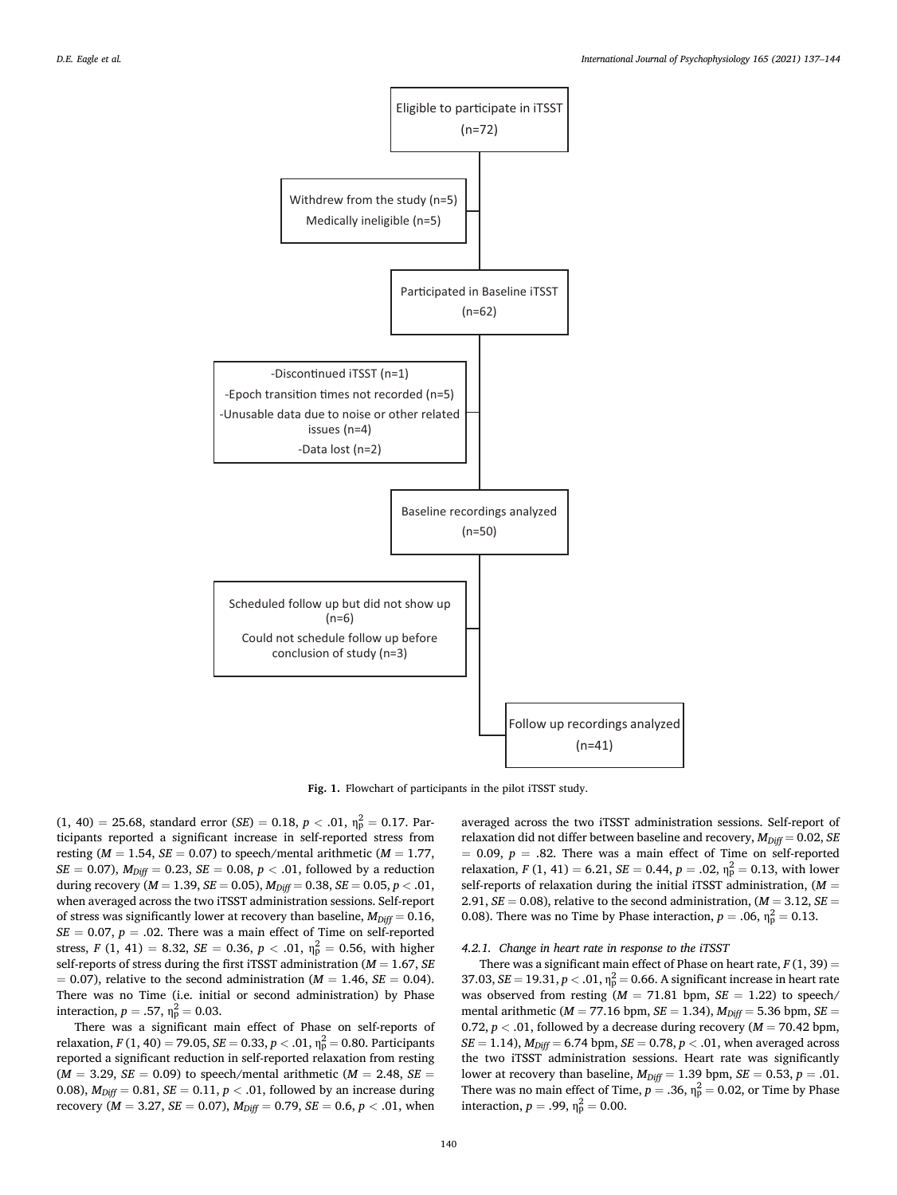<span id="page-3-0"></span>

**Fig. 1.** Flowchart of participants in the pilot iTSST study.

 $(1, 40) = 25.68$ , standard error  $(SE) = 0.18$ ,  $p < .01$ ,  $\eta_p^2 = 0.17$ . Participants reported a significant increase in self-reported stress from resting (*M* = 1.54, *SE* = 0.07) to speech/mental arithmetic (*M* = 1.77, *SE* = 0.07),  $M_{Diff}$  = 0.23, *SE* = 0.08, *p* < .01, followed by a reduction during recovery (*M* = 1.39, *SE* = 0.05), *MDiff* = 0.38, *SE* = 0.05, *p <* .01, when averaged across the two iTSST administration sessions. Self-report of stress was significantly lower at recovery than baseline,  $M_{Diff} = 0.16$ ,  $SE = 0.07$ ,  $p = .02$ . There was a main effect of Time on self-reported stress, *F* (1, 41) = 8.32, *SE* = 0.36, *p* < .01,  $\eta_p^2 = 0.56$ , with higher self-reports of stress during the first iTSST administration (*M* = 1.67, *SE*   $= 0.07$ ), relative to the second administration ( $M = 1.46$ ,  $SE = 0.04$ ). There was no Time (i.e. initial or second administration) by Phase interaction,  $p = .57$ ,  $\eta_{\rm p}^2 = 0.03$ .

There was a significant main effect of Phase on self-reports of relaxation, *F* (1, 40) = 79.05, *SE* = 0.33, *p* < .01,  $\eta_{\rm p}^2$  = 0.80. Participants reported a significant reduction in self-reported relaxation from resting  $(M = 3.29, SE = 0.09)$  to speech/mental arithmetic  $(M = 2.48, SE = 1.5)$ 0.08),  $M_{Diff} = 0.81$ ,  $SE = 0.11$ ,  $p < .01$ , followed by an increase during recovery ( $M = 3.27$ ,  $SE = 0.07$ ),  $M_{Diff} = 0.79$ ,  $SE = 0.6$ ,  $p < .01$ , when

averaged across the two iTSST administration sessions. Self-report of relaxation did not differ between baseline and recovery,  $M_{Diff} = 0.02$ , *SE*  $= 0.09, p = .82$ . There was a main effect of Time on self-reported relaxation, *F* (1, 41) = 6.21, *SE* = 0.44, *p* = .02,  $\eta_p^2 = 0.13$ , with lower self-reports of relaxation during the initial iTSST administration, (*M* = 2.91,  $SE = 0.08$ ), relative to the second administration,  $(M = 3.12, SE =$ 0.08). There was no Time by Phase interaction,  $p = .06$ ,  $\eta_p^2 = 0.13$ .

### *4.2.1. Change in heart rate in response to the iTSST*

There was a significant main effect of Phase on heart rate,  $F(1, 39) =$ 37.03,  $SE = 19.31, p < .01, \eta_p^2 = 0.66$ . A significant increase in heart rate was observed from resting  $(M = 71.81$  bpm,  $SE = 1.22$ ) to speech/ mental arithmetic (*M* = 77.16 bpm, *SE* = 1.34), *MDiff* = 5.36 bpm, *SE* = 0.72,  $p < .01$ , followed by a decrease during recovery ( $M = 70.42$  bpm,  $SE = 1.14$ ),  $M_{Diff} = 6.74$  bpm,  $SE = 0.78$ ,  $p < .01$ , when averaged across the two iTSST administration sessions. Heart rate was significantly lower at recovery than baseline,  $M_{Diff} = 1.39$  bpm,  $SE = 0.53$ ,  $p = .01$ . There was no main effect of Time,  $p = .36$ ,  $\eta_p^2 = 0.02$ , or Time by Phase interaction,  $p = .99$ ,  $\eta_p^2 = 0.00$ .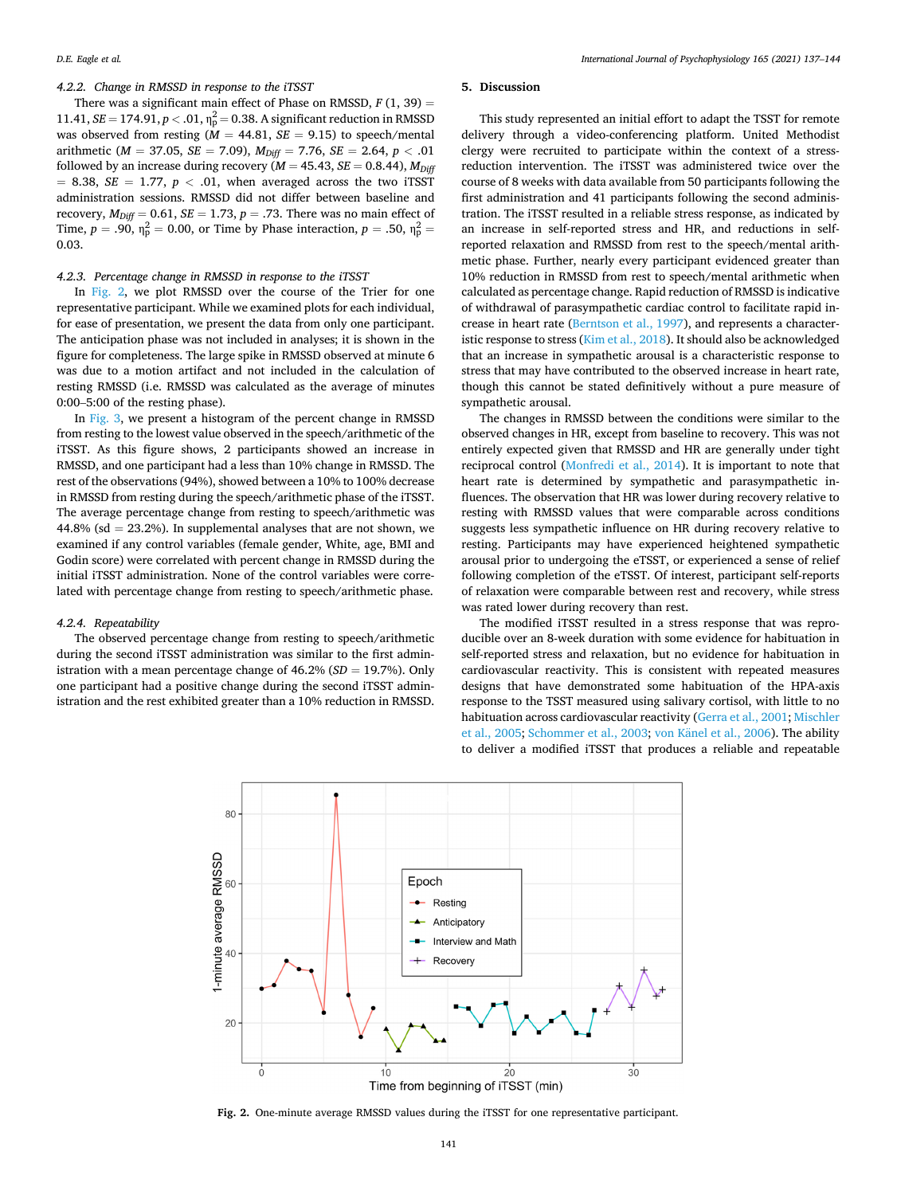# *4.2.2. Change in RMSSD in response to the iTSST*

There was a significant main effect of Phase on RMSSD,  $F(1, 39) =$  $11.41, SE = 174.91, p < .01, \eta_{\rm p}^2 = 0.38$ . A significant reduction in RMSSD was observed from resting  $(M = 44.81, SE = 9.15)$  to speech/mental arithmetic ( $M = 37.05$ ,  $SE = 7.09$ ),  $M_{Diff} = 7.76$ ,  $SE = 2.64$ ,  $p < .01$ followed by an increase during recovery  $(M = 45.43, SE = 0.8.44)$ ,  $M_{Diff}$  $= 8.38$ , *SE*  $= 1.77$ ,  $p < .01$ , when averaged across the two iTSST administration sessions. RMSSD did not differ between baseline and recovery,  $M_{Diff} = 0.61$ ,  $SE = 1.73$ ,  $p = .73$ . There was no main effect of Time,  $p = .90$ ,  $\eta_{\rm p}^2 = 0.00$ , or Time by Phase interaction,  $p = .50$ ,  $\eta_{\rm p}^2 =$ 0.03.

### *4.2.3. Percentage change in RMSSD in response to the iTSST*

In Fig. 2, we plot RMSSD over the course of the Trier for one representative participant. While we examined plots for each individual, for ease of presentation, we present the data from only one participant. The anticipation phase was not included in analyses; it is shown in the figure for completeness. The large spike in RMSSD observed at minute 6 was due to a motion artifact and not included in the calculation of resting RMSSD (i.e. RMSSD was calculated as the average of minutes 0:00–5:00 of the resting phase).

In [Fig. 3](#page-5-0), we present a histogram of the percent change in RMSSD from resting to the lowest value observed in the speech/arithmetic of the iTSST. As this figure shows, 2 participants showed an increase in RMSSD, and one participant had a less than 10% change in RMSSD. The rest of the observations (94%), showed between a 10% to 100% decrease in RMSSD from resting during the speech/arithmetic phase of the iTSST. The average percentage change from resting to speech/arithmetic was 44.8% (sd  $= 23.2$ %). In supplemental analyses that are not shown, we examined if any control variables (female gender, White, age, BMI and Godin score) were correlated with percent change in RMSSD during the initial iTSST administration. None of the control variables were correlated with percentage change from resting to speech/arithmetic phase.

#### *4.2.4. Repeatability*

The observed percentage change from resting to speech/arithmetic during the second iTSST administration was similar to the first administration with a mean percentage change of 46.2% (*SD* = 19.7%). Only one participant had a positive change during the second iTSST administration and the rest exhibited greater than a 10% reduction in RMSSD.

# **5. Discussion**

This study represented an initial effort to adapt the TSST for remote delivery through a video-conferencing platform. United Methodist clergy were recruited to participate within the context of a stressreduction intervention. The iTSST was administered twice over the course of 8 weeks with data available from 50 participants following the first administration and 41 participants following the second administration. The iTSST resulted in a reliable stress response, as indicated by an increase in self-reported stress and HR, and reductions in selfreported relaxation and RMSSD from rest to the speech/mental arithmetic phase. Further, nearly every participant evidenced greater than 10% reduction in RMSSD from rest to speech/mental arithmetic when calculated as percentage change. Rapid reduction of RMSSD is indicative of withdrawal of parasympathetic cardiac control to facilitate rapid increase in heart rate [\(Berntson et al., 1997](#page-6-0)), and represents a characteristic response to stress ([Kim et al., 2018](#page-6-0)). It should also be acknowledged that an increase in sympathetic arousal is a characteristic response to stress that may have contributed to the observed increase in heart rate, though this cannot be stated definitively without a pure measure of sympathetic arousal.

The changes in RMSSD between the conditions were similar to the observed changes in HR, except from baseline to recovery. This was not entirely expected given that RMSSD and HR are generally under tight reciprocal control ([Monfredi et al., 2014](#page-6-0)). It is important to note that heart rate is determined by sympathetic and parasympathetic influences. The observation that HR was lower during recovery relative to resting with RMSSD values that were comparable across conditions suggests less sympathetic influence on HR during recovery relative to resting. Participants may have experienced heightened sympathetic arousal prior to undergoing the eTSST, or experienced a sense of relief following completion of the eTSST. Of interest, participant self-reports of relaxation were comparable between rest and recovery, while stress was rated lower during recovery than rest.

The modified iTSST resulted in a stress response that was reproducible over an 8-week duration with some evidence for habituation in self-reported stress and relaxation, but no evidence for habituation in cardiovascular reactivity. This is consistent with repeated measures designs that have demonstrated some habituation of the HPA-axis response to the TSST measured using salivary cortisol, with little to no habituation across cardiovascular reactivity [\(Gerra et al., 2001; Mischler](#page-6-0)  [et al., 2005; Schommer et al., 2003](#page-6-0); von Känel [et al., 2006](#page-7-0)). The ability to deliver a modified iTSST that produces a reliable and repeatable



**Fig. 2.** One-minute average RMSSD values during the iTSST for one representative participant.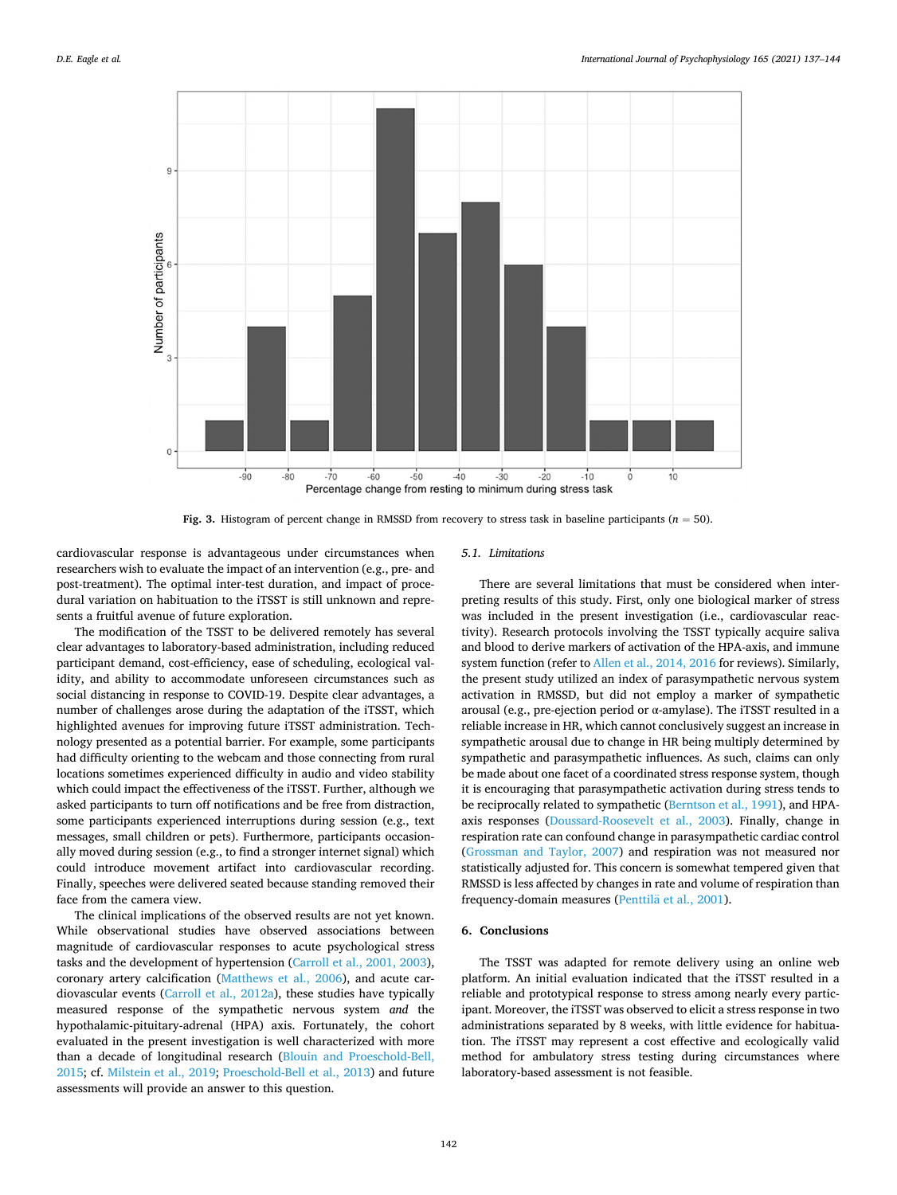<span id="page-5-0"></span>

**Fig. 3.** Histogram of percent change in RMSSD from recovery to stress task in baseline participants (*n* = 50).

cardiovascular response is advantageous under circumstances when researchers wish to evaluate the impact of an intervention (e.g., pre- and post-treatment). The optimal inter-test duration, and impact of procedural variation on habituation to the iTSST is still unknown and represents a fruitful avenue of future exploration.

The modification of the TSST to be delivered remotely has several clear advantages to laboratory-based administration, including reduced participant demand, cost-efficiency, ease of scheduling, ecological validity, and ability to accommodate unforeseen circumstances such as social distancing in response to COVID-19. Despite clear advantages, a number of challenges arose during the adaptation of the iTSST, which highlighted avenues for improving future iTSST administration. Technology presented as a potential barrier. For example, some participants had difficulty orienting to the webcam and those connecting from rural locations sometimes experienced difficulty in audio and video stability which could impact the effectiveness of the iTSST. Further, although we asked participants to turn off notifications and be free from distraction, some participants experienced interruptions during session (e.g., text messages, small children or pets). Furthermore, participants occasionally moved during session (e.g., to find a stronger internet signal) which could introduce movement artifact into cardiovascular recording. Finally, speeches were delivered seated because standing removed their face from the camera view.

The clinical implications of the observed results are not yet known. While observational studies have observed associations between magnitude of cardiovascular responses to acute psychological stress tasks and the development of hypertension [\(Carroll et al., 2001, 2003](#page-6-0)), coronary artery calcification ([Matthews et al., 2006](#page-6-0)), and acute cardiovascular events [\(Carroll et al., 2012a\)](#page-6-0), these studies have typically measured response of the sympathetic nervous system *and* the hypothalamic-pituitary-adrenal (HPA) axis. Fortunately, the cohort evaluated in the present investigation is well characterized with more than a decade of longitudinal research ([Blouin and Proeschold-Bell,](#page-6-0)  [2015;](#page-6-0) cf. [Milstein et al., 2019](#page-6-0); [Proeschold-Bell et al., 2013](#page-6-0)) and future assessments will provide an answer to this question.

# *5.1. Limitations*

There are several limitations that must be considered when interpreting results of this study. First, only one biological marker of stress was included in the present investigation (i.e., cardiovascular reactivity). Research protocols involving the TSST typically acquire saliva and blood to derive markers of activation of the HPA-axis, and immune system function (refer to [Allen et al., 2014, 2016](#page-6-0) for reviews). Similarly, the present study utilized an index of parasympathetic nervous system activation in RMSSD, but did not employ a marker of sympathetic arousal (e.g., pre-ejection period or α-amylase). The iTSST resulted in a reliable increase in HR, which cannot conclusively suggest an increase in sympathetic arousal due to change in HR being multiply determined by sympathetic and parasympathetic influences. As such, claims can only be made about one facet of a coordinated stress response system, though it is encouraging that parasympathetic activation during stress tends to be reciprocally related to sympathetic [\(Berntson et al., 1991\)](#page-6-0), and HPAaxis responses [\(Doussard-Roosevelt et al., 2003\)](#page-6-0). Finally, change in respiration rate can confound change in parasympathetic cardiac control ([Grossman and Taylor, 2007](#page-6-0)) and respiration was not measured nor statistically adjusted for. This concern is somewhat tempered given that RMSSD is less affected by changes in rate and volume of respiration than frequency-domain measures (Penttilä et al., 2001).

### **6. Conclusions**

The TSST was adapted for remote delivery using an online web platform. An initial evaluation indicated that the iTSST resulted in a reliable and prototypical response to stress among nearly every participant. Moreover, the iTSST was observed to elicit a stress response in two administrations separated by 8 weeks, with little evidence for habituation. The iTSST may represent a cost effective and ecologically valid method for ambulatory stress testing during circumstances where laboratory-based assessment is not feasible.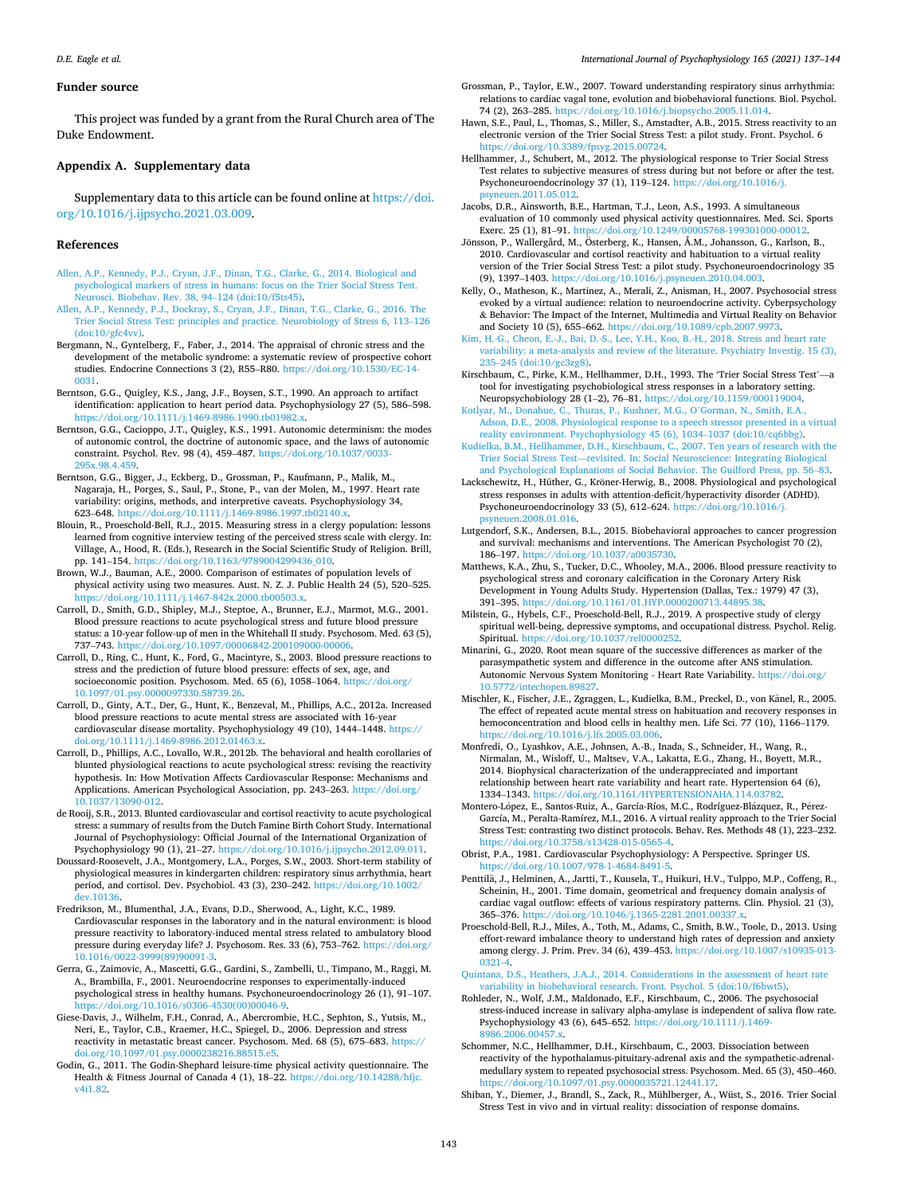### <span id="page-6-0"></span>**Funder source**

This project was funded by a grant from the Rural Church area of The Duke Endowment.

### **Appendix A. Supplementary data**

Supplementary data to this article can be found online at [https://doi.](https://doi.org/10.1016/j.ijpsycho.2021.03.009)  [org/10.1016/j.ijpsycho.2021.03.009](https://doi.org/10.1016/j.ijpsycho.2021.03.009).

### **References**

- [Allen, A.P., Kennedy, P.J., Cryan, J.F., Dinan, T.G., Clarke, G., 2014. Biological and](http://refhub.elsevier.com/S0167-8760(21)00131-8/rf0005)  [psychological markers of stress in humans: focus on the Trier Social Stress Test.](http://refhub.elsevier.com/S0167-8760(21)00131-8/rf0005)  eurosci. Biobehav. Rev. 38, 94-124 (doi:10/f5ts45).
- [Allen, A.P., Kennedy, P.J., Dockray, S., Cryan, J.F., Dinan, T.G., Clarke, G., 2016. The](http://refhub.elsevier.com/S0167-8760(21)00131-8/rf0010) [Trier Social Stress Test: principles and practice. Neurobiology of Stress 6, 113](http://refhub.elsevier.com/S0167-8760(21)00131-8/rf0010)–126  $(doi:10/ofc4vv)$ .
- Bergmann, N., Gyntelberg, F., Faber, J., 2014. The appraisal of chronic stress and the development of the metabolic syndrome: a systematic review of prospective cohort studies. Endocrine Connections 3 (2), R55–R80. [https://doi.org/10.1530/EC-14-](https://doi.org/10.1530/EC-14-0031)  [0031.](https://doi.org/10.1530/EC-14-0031)
- Berntson, G.G., Quigley, K.S., Jang, J.F., Boysen, S.T., 1990. An approach to artifact identification: application to heart period data. Psychophysiology 27 (5), 586–598. <https://doi.org/10.1111/j.1469-8986.1990.tb01982.x>.
- Berntson, G.G., Cacioppo, J.T., Quigley, K.S., 1991. Autonomic determinism: the modes of autonomic control, the doctrine of autonomic space, and the laws of autonomic constraint. Psychol. Rev. 98 (4), 459–487. [https://doi.org/10.1037/0033-](https://doi.org/10.1037/0033-295x.98.4.459) [295x.98.4.459](https://doi.org/10.1037/0033-295x.98.4.459).
- Berntson, G.G., Bigger, J., Eckberg, D., Grossman, P., Kaufmann, P., Malik, M., Nagaraja, H., Porges, S., Saul, P., Stone, P., van der Molen, M., 1997. Heart rate variability: origins, methods, and interpretive caveats. Psychophysiology 34, 623–648. [https://doi.org/10.1111/j.1469-8986.1997.tb02140.x.](https://doi.org/10.1111/j.1469-8986.1997.tb02140.x)
- Blouin, R., Proeschold-Bell, R.J., 2015. Measuring stress in a clergy population: lessons learned from cognitive interview testing of the perceived stress scale with clergy. In: Village, A., Hood, R. (Eds.), Research in the Social Scientific Study of Religion. Brill, pp. 141–154. [https://doi.org/10.1163/9789004299436\\_010.](https://doi.org/10.1163/9789004299436_010)
- Brown, W.J., Bauman, A.E., 2000. Comparison of estimates of population levels of physical activity using two measures. Aust. N. Z. J. Public Health 24 (5), 520–525. ://doi.org/10.1111/j.1467-842x.2000.tb00503.x
- Carroll, D., Smith, G.D., Shipley, M.J., Steptoe, A., Brunner, E.J., Marmot, M.G., 2001. Blood pressure reactions to acute psychological stress and future blood pressure status: a 10-year follow-up of men in the Whitehall II study. Psychosom. Med. 63 (5), 737–743. <https://doi.org/10.1097/00006842-200109000-00006>.
- Carroll, D., Ring, C., Hunt, K., Ford, G., Macintyre, S., 2003. Blood pressure reactions to stress and the prediction of future blood pressure: effects of sex, age, and socioeconomic position. Psychosom. Med. 65 (6), 1058-1064. https://doi.org/ [10.1097/01.psy.0000097330.58739.26.](https://doi.org/10.1097/01.psy.0000097330.58739.26)
- Carroll, D., Ginty, A.T., Der, G., Hunt, K., Benzeval, M., Phillips, A.C., 2012a. Increased blood pressure reactions to acute mental stress are associated with 16-year cardiovascular disease mortality. Psychophysiology 49 (10), 1444–1448. [https://](https://doi.org/10.1111/j.1469-8986.2012.01463.x)  [doi.org/10.1111/j.1469-8986.2012.01463.x.](https://doi.org/10.1111/j.1469-8986.2012.01463.x)
- Carroll, D., Phillips, A.C., Lovallo, W.R., 2012b. The behavioral and health corollaries of blunted physiological reactions to acute psychological stress: revising the reactivity hypothesis. In: How Motivation Affects Cardiovascular Response: Mechanisms and Applications. American Psychological Association, pp. 243–263. [https://doi.org/](https://doi.org/10.1037/13090-012)  [10.1037/13090-012.](https://doi.org/10.1037/13090-012)
- de Rooij, S.R., 2013. Blunted cardiovascular and cortisol reactivity to acute psychological stress: a summary of results from the Dutch Famine Birth Cohort Study. International Journal of Psychophysiology: Official Journal of the International Organization of Psychophysiology 90 (1), 21–27. [https://doi.org/10.1016/j.ijpsycho.2012.09.011.](https://doi.org/10.1016/j.ijpsycho.2012.09.011)
- Doussard-Roosevelt, J.A., Montgomery, L.A., Porges, S.W., 2003. Short-term stability of physiological measures in kindergarten children: respiratory sinus arrhythmia, heart period, and cortisol. Dev. Psychobiol. 43 (3), 230–242. [https://doi.org/10.1002/](https://doi.org/10.1002/dev.10136) [dev.10136](https://doi.org/10.1002/dev.10136).
- Fredrikson, M., Blumenthal, J.A., Evans, D.D., Sherwood, A., Light, K.C., 1989. Cardiovascular responses in the laboratory and in the natural environment: is blood pressure reactivity to laboratory-induced mental stress related to ambulatory blood pressure during everyday life? J. Psychosom. Res. 33 (6), 753–762. [https://doi.org/](https://doi.org/10.1016/0022-3999(89)90091-3)  [10.1016/0022-3999\(89\)90091-3](https://doi.org/10.1016/0022-3999(89)90091-3).
- Gerra, G., Zaimovic, A., Mascetti, G.G., Gardini, S., Zambelli, U., Timpano, M., Raggi, M. A., Brambilla, F., 2001. Neuroendocrine responses to experimentally-induced psychological stress in healthy humans. Psychoneuroendocrinology 26 (1), 91–107. [https://doi.org/10.1016/s0306-4530\(00\)00046-9](https://doi.org/10.1016/s0306-4530(00)00046-9).
- Giese-Davis, J., Wilhelm, F.H., Conrad, A., Abercrombie, H.C., Sephton, S., Yutsis, M., Neri, E., Taylor, C.B., Kraemer, H.C., Spiegel, D., 2006. Depression and stress reactivity in metastatic breast cancer. Psychosom. Med. 68 (5), 675–683. [https://](https://doi.org/10.1097/01.psy.0000238216.88515.e5) [doi.org/10.1097/01.psy.0000238216.88515.e5.](https://doi.org/10.1097/01.psy.0000238216.88515.e5)
- Godin, G., 2011. The Godin-Shephard leisure-time physical activity questionnaire. The Health & Fitness Journal of Canada 4 (1), 18–22. [https://doi.org/10.14288/hfjc.](https://doi.org/10.14288/hfjc.v4i1.82)  [v4i1.82.](https://doi.org/10.14288/hfjc.v4i1.82)
- Grossman, P., Taylor, E.W., 2007. Toward understanding respiratory sinus arrhythmia: relations to cardiac vagal tone, evolution and biobehavioral functions. Biol. Psychol. 74 (2), 263–285. <https://doi.org/10.1016/j.biopsycho.2005.11.014>.
- Hawn, S.E., Paul, L., Thomas, S., Miller, S., Amstadter, A.B., 2015. Stress reactivity to an electronic version of the Trier Social Stress Test: a pilot study. Front. Psychol. 6 <https://doi.org/10.3389/fpsyg.2015.00724>.
- Hellhammer, J., Schubert, M., 2012. The physiological response to Trier Social Stress Test relates to subjective measures of stress during but not before or after the test. Psychoneuroendocrinology 37 (1), 119–124. [https://doi.org/10.1016/j.](https://doi.org/10.1016/j.psyneuen.2011.05.012)  [psyneuen.2011.05.012.](https://doi.org/10.1016/j.psyneuen.2011.05.012)
- Jacobs, D.R., Ainsworth, B.E., Hartman, T.J., Leon, A.S., 1993. A simultaneous evaluation of 10 commonly used physical activity questionnaires. Med. Sci. Sports Exerc. 25 (1), 81–91. [https://doi.org/10.1249/00005768-199301000-00012.](https://doi.org/10.1249/00005768-199301000-00012)
- Jönsson, P., Wallergård, M., Österberg, K., Hansen, Å.M., Johansson, G., Karlson, B., 2010. Cardiovascular and cortisol reactivity and habituation to a virtual reality version of the Trier Social Stress Test: a pilot study. Psychoneuroendocrinology 35 (9), 1397–1403. <https://doi.org/10.1016/j.psyneuen.2010.04.003>.
- Kelly, O., Matheson, K., Martinez, A., Merali, Z., Anisman, H., 2007. Psychosocial stress evoked by a virtual audience: relation to neuroendocrine activity. Cyberpsychology & Behavior: The Impact of the Internet, Multimedia and Virtual Reality on Behavior and Society 10 (5), 655–662. <https://doi.org/10.1089/cpb.2007.9973>.
- [Kim, H.-G., Cheon, E.-J., Bai, D.-S., Lee, Y.H., Koo, B.-H., 2018. Stress and heart rate](http://refhub.elsevier.com/S0167-8760(21)00131-8/rf0125)  [variability: a meta-analysis and review of the literature. Psychiatry Investig. 15 \(3\),](http://refhub.elsevier.com/S0167-8760(21)00131-8/rf0125)  235–[245 \(doi:10/gc3zg8\)](http://refhub.elsevier.com/S0167-8760(21)00131-8/rf0125).
- Kirschbaum, C., Pirke, K.M., Hellhammer, D.H., 1993. The 'Trier Social Stress Test'—a tool for investigating psychobiological stress responses in a laboratory setting. Neuropsychobiology 28 (1–2), 76–81. [https://doi.org/10.1159/000119004.](https://doi.org/10.1159/000119004)
- [Kotlyar, M., Donahue, C., Thuras, P., Kushner, M.G., O](http://refhub.elsevier.com/S0167-8760(21)00131-8/rf0135)'Gorman, N., Smith, E.A., [Adson, D.E., 2008. Physiological response to a speech stressor presented in a virtual](http://refhub.elsevier.com/S0167-8760(21)00131-8/rf0135)  [reality environment. Psychophysiology 45 \(6\), 1034](http://refhub.elsevier.com/S0167-8760(21)00131-8/rf0135)–1037 (doi:10/cq6bbg).
- [Kudielka, B.M., Hellhammer, D.H., Kirschbaum, C., 2007. Ten years of research with the](http://refhub.elsevier.com/S0167-8760(21)00131-8/rf0140)  Trier Social Stress Test—[revisited. In: Social Neuroscience: Integrating Biological](http://refhub.elsevier.com/S0167-8760(21)00131-8/rf0140) [and Psychological Explanations of Social Behavior. The Guilford Press, pp. 56](http://refhub.elsevier.com/S0167-8760(21)00131-8/rf0140)–83.
- Lackschewitz, H., Hüther, G., Kröner-Herwig, B., 2008. Physiological and psychological stress responses in adults with attention-deficit/hyperactivity disorder (ADHD). Psychoneuroendocrinology 33 (5), 612–624. [https://doi.org/10.1016/j.](https://doi.org/10.1016/j.psyneuen.2008.01.016)  [psyneuen.2008.01.016.](https://doi.org/10.1016/j.psyneuen.2008.01.016)
- Lutgendorf, S.K., Andersen, B.L., 2015. Biobehavioral approaches to cancer progression and survival: mechanisms and interventions. The American Psychologist 70 (2), 186–197. <https://doi.org/10.1037/a0035730>.
- Matthews, K.A., Zhu, S., Tucker, D.C., Whooley, M.A., 2006. Blood pressure reactivity to psychological stress and coronary calcification in the Coronary Artery Risk Development in Young Adults Study. Hypertension (Dallas, Tex.: 1979) 47 (3), 391–395. [https://doi.org/10.1161/01.HYP.0000200713.44895.38.](https://doi.org/10.1161/01.HYP.0000200713.44895.38)
- Milstein, G., Hybels, C.F., Proeschold-Bell, R.J., 2019. A prospective study of clergy spiritual well-being, depressive symptoms, and occupational distress. Psychol. Relig. Spiritual. <https://doi.org/10.1037/rel0000252>.
- Minarini, G., 2020. Root mean square of the successive differences as marker of the parasympathetic system and difference in the outcome after ANS stimulation. Autonomic Nervous System Monitoring - Heart Rate Variability. [https://doi.org/](https://doi.org/10.5772/intechopen.89827)  [10.5772/intechopen.89827.](https://doi.org/10.5772/intechopen.89827)
- Mischler, K., Fischer, J.E., Zgraggen, L., Kudielka, B.M., Preckel, D., von Känel, R., 2005. The effect of repeated acute mental stress on habituation and recovery responses in hemoconcentration and blood cells in healthy men. Life Sci. 77 (10), 1166–1179. <https://doi.org/10.1016/j.lfs.2005.03.006>.
- Monfredi, O., Lyashkov, A.E., Johnsen, A.-B., Inada, S., Schneider, H., Wang, R., Nirmalan, M., Wisloff, U., Maltsev, V.A., Lakatta, E.G., Zhang, H., Boyett, M.R., 2014. Biophysical characterization of the underappreciated and important relationship between heart rate variability and heart rate. Hypertension 64 (6), 1334–1343. [https://doi.org/10.1161/HYPERTENSIONAHA.114.03782.](https://doi.org/10.1161/HYPERTENSIONAHA.114.03782)
- Montero-López, E., Santos-Ruiz, A., García-Ríos, M.C., Rodríguez-Blázquez, R., Pérez-García, M., Peralta-Ramírez, M.I., 2016. A virtual reality approach to the Trier Social Stress Test: contrasting two distinct protocols. Behav. Res. Methods 48 (1), 223–232. [https://doi.org/10.3758/s13428-015-0565-4.](https://doi.org/10.3758/s13428-015-0565-4)

Obrist, P.A., 1981. Cardiovascular Psychophysiology: A Perspective. Springer US. <https://doi.org/10.1007/978-1-4684-8491-5>.

- Penttilä, J., Helminen, A., Jartti, T., Kuusela, T., Huikuri, H.V., Tulppo, M.P., Coffeng, R., Scheinin, H., 2001. Time domain, geometrical and frequency domain analysis of cardiac vagal outflow: effects of various respiratory patterns. Clin. Physiol. 21 (3), 365–376. <https://doi.org/10.1046/j.1365-2281.2001.00337.x>.
- Proeschold-Bell, R.J., Miles, A., Toth, M., Adams, C., Smith, B.W., Toole, D., 2013. Using effort-reward imbalance theory to understand high rates of depression and anxiety among clergy. J. Prim. Prev. 34 (6), 439–453. [https://doi.org/10.1007/s10935-013-](https://doi.org/10.1007/s10935-013-0321-4)  [0321-4.](https://doi.org/10.1007/s10935-013-0321-4)

[Quintana, D.S., Heathers, J.A.J., 2014. Considerations in the assessment of heart rate](http://refhub.elsevier.com/S0167-8760(21)00131-8/rf0200) [variability in biobehavioral research. Front. Psychol. 5 \(doi:10/f6bwt5\)](http://refhub.elsevier.com/S0167-8760(21)00131-8/rf0200).

- Rohleder, N., Wolf, J.M., Maldonado, E.F., Kirschbaum, C., 2006. The psychosocial stress-induced increase in salivary alpha-amylase is independent of saliva flow rate. Psychophysiology 43 (6), 645–652. [https://doi.org/10.1111/j.1469-](https://doi.org/10.1111/j.1469-8986.2006.00457.x) 8986.2006.0045
- Schommer, N.C., Hellhammer, D.H., Kirschbaum, C., 2003. Dissociation between reactivity of the hypothalamus-pituitary-adrenal axis and the sympathetic-adrenalmedullary system to repeated psychosocial stress. Psychosom. Med. 65 (3), 450–460. <https://doi.org/10.1097/01.psy.0000035721.12441.17>.
- Shiban, Y., Diemer, J., Brandl, S., Zack, R., Mühlberger, A., Wüst, S., 2016. Trier Social Stress Test in vivo and in virtual reality: dissociation of response domains.